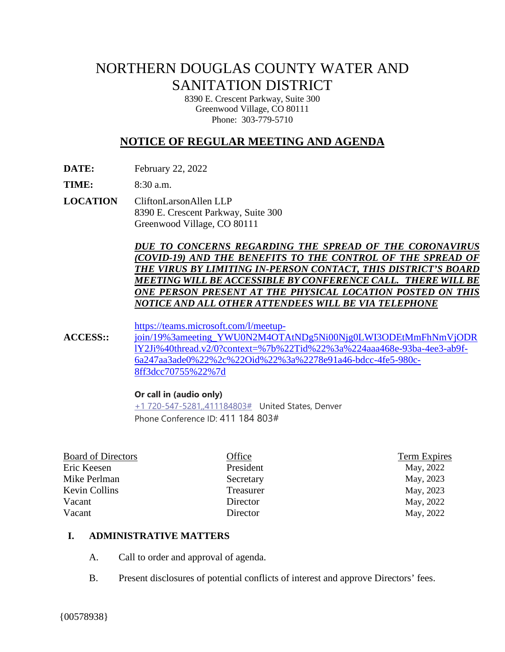# NORTHERN DOUGLAS COUNTY WATER AND SANITATION DISTRICT

8390 E. Crescent Parkway, Suite 300 Greenwood Village, CO 80111 Phone: 303-779-5710

# **NOTICE OF REGULAR MEETING AND AGENDA**

**DATE:** February 22, 2022

**TIME:** 8:30 a.m.

**LOCATION** CliftonLarsonAllen LLP 8390 E. Crescent Parkway, Suite 300 Greenwood Village, CO 80111

> *DUE TO CONCERNS REGARDING THE SPREAD OF THE CORONAVIRUS (COVID-19) AND THE BENEFITS TO THE CONTROL OF THE SPREAD OF THE VIRUS BY LIMITING IN-PERSON CONTACT, THIS DISTRICT'S BOARD MEETING WILL BE ACCESSIBLE BY CONFERENCE CALL. THERE WILLBE ONE PERSON PRESENT AT THE PHYSICAL LOCATION POSTED ON THIS NOTICE AND ALL OTHER ATTENDEES WILL BE VIA TELEPHONE*

[https://teams.microsoft.com/l/meetup-](https://teams.microsoft.com/l/meetup-join/19%3ameeting_YWU0N2M4OTAtNDg5Ni00Njg0LWI3ODEtMmFhNmVjODRlY2Ji%40thread.v2/0?context=%7b%22Tid%22%3a%224aaa468e-93ba-4ee3-ab9f-6a247aa3ade0%22%2c%22Oid%22%3a%2278e91a46-bdcc-4fe5-980c-8ff3dcc70755%22%7d)

**ACCESS::**  [join/19%3ameeting\\_YWU0N2M4OTAtNDg5Ni00Njg0LWI3ODEtMmFhNmVjODR](https://teams.microsoft.com/l/meetup-join/19%3ameeting_YWU0N2M4OTAtNDg5Ni00Njg0LWI3ODEtMmFhNmVjODRlY2Ji%40thread.v2/0?context=%7b%22Tid%22%3a%224aaa468e-93ba-4ee3-ab9f-6a247aa3ade0%22%2c%22Oid%22%3a%2278e91a46-bdcc-4fe5-980c-8ff3dcc70755%22%7d) [lY2Ji%40thread.v2/0?context=%7b%22Tid%22%3a%224aaa468e-93ba-4ee3-ab9f-](https://teams.microsoft.com/l/meetup-join/19%3ameeting_YWU0N2M4OTAtNDg5Ni00Njg0LWI3ODEtMmFhNmVjODRlY2Ji%40thread.v2/0?context=%7b%22Tid%22%3a%224aaa468e-93ba-4ee3-ab9f-6a247aa3ade0%22%2c%22Oid%22%3a%2278e91a46-bdcc-4fe5-980c-8ff3dcc70755%22%7d)[6a247aa3ade0%22%2c%22Oid%22%3a%2278e91a46-bdcc-4fe5-980c-](https://teams.microsoft.com/l/meetup-join/19%3ameeting_YWU0N2M4OTAtNDg5Ni00Njg0LWI3ODEtMmFhNmVjODRlY2Ji%40thread.v2/0?context=%7b%22Tid%22%3a%224aaa468e-93ba-4ee3-ab9f-6a247aa3ade0%22%2c%22Oid%22%3a%2278e91a46-bdcc-4fe5-980c-8ff3dcc70755%22%7d)[8ff3dcc70755%22%7d](https://teams.microsoft.com/l/meetup-join/19%3ameeting_YWU0N2M4OTAtNDg5Ni00Njg0LWI3ODEtMmFhNmVjODRlY2Ji%40thread.v2/0?context=%7b%22Tid%22%3a%224aaa468e-93ba-4ee3-ab9f-6a247aa3ade0%22%2c%22Oid%22%3a%2278e91a46-bdcc-4fe5-980c-8ff3dcc70755%22%7d)

## **Or call in (audio only)**

[+1 720-547-5281,,411184803#](tel:+17205475281,,411184803#%20) United States, Denver Phone Conference ID: 411 184 803#

| <b>Board of Directors</b> | Office    | Term Expires |
|---------------------------|-----------|--------------|
| Eric Keesen               | President | May, 2022    |
| Mike Perlman              | Secretary | May, 2023    |
| <b>Kevin Collins</b>      | Treasurer | May, 2023    |
| Vacant                    | Director  | May, 2022    |
| Vacant                    | Director  | May, 2022    |
|                           |           |              |

## **I. ADMINISTRATIVE MATTERS**

- A. Call to order and approval of agenda.
- B. Present disclosures of potential conflicts of interest and approve Directors' fees.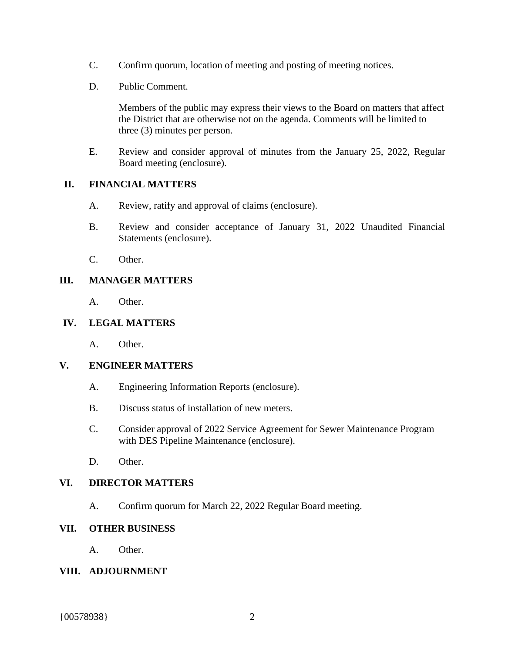- C. Confirm quorum, location of meeting and posting of meeting notices.
- D. Public Comment.

Members of the public may express their views to the Board on matters that affect the District that are otherwise not on the agenda. Comments will be limited to three (3) minutes per person.

E. Review and consider approval of minutes from the January 25, 2022, Regular Board meeting (enclosure).

# **II. FINANCIAL MATTERS**

- A. Review, ratify and approval of claims (enclosure).
- B. Review and consider acceptance of January 31, 2022 Unaudited Financial Statements (enclosure).
- C. Other.

# **III. MANAGER MATTERS**

A. Other.

# **IV. LEGAL MATTERS**

A. Other.

## **V. ENGINEER MATTERS**

- A. Engineering Information Reports (enclosure).
- B. Discuss status of installation of new meters.
- C. Consider approval of 2022 Service Agreement for Sewer Maintenance Program with DES Pipeline Maintenance (enclosure).
- D. Other.

# **VI. DIRECTOR MATTERS**

A. Confirm quorum for March 22, 2022 Regular Board meeting.

## **VII. OTHER BUSINESS**

A. Other.

## **VIII. ADJOURNMENT**